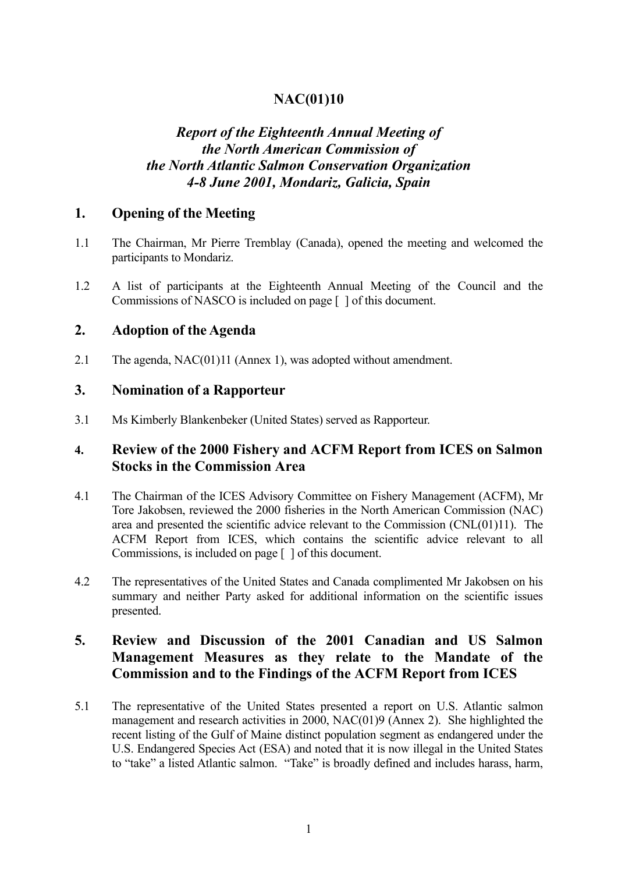# **NAC(01)10**

# *Report of the Eighteenth Annual Meeting of the North American Commission of the North Atlantic Salmon Conservation Organization 4-8 June 2001, Mondariz, Galicia, Spain*

### **1. Opening of the Meeting**

- 1.1 The Chairman, Mr Pierre Tremblay (Canada), opened the meeting and welcomed the participants to Mondariz.
- 1.2 A list of participants at the Eighteenth Annual Meeting of the Council and the Commissions of NASCO is included on page [ ] of this document.

#### **2. Adoption of the Agenda**

2.1 The agenda, NAC(01)11 (Annex 1), was adopted without amendment.

#### **3. Nomination of a Rapporteur**

3.1 Ms Kimberly Blankenbeker (United States) served as Rapporteur.

### **4. Review of the 2000 Fishery and ACFM Report from ICES on Salmon Stocks in the Commission Area**

- 4.1 The Chairman of the ICES Advisory Committee on Fishery Management (ACFM), Mr Tore Jakobsen, reviewed the 2000 fisheries in the North American Commission (NAC) area and presented the scientific advice relevant to the Commission (CNL(01)11). The ACFM Report from ICES, which contains the scientific advice relevant to all Commissions, is included on page [ ] of this document.
- 4.2 The representatives of the United States and Canada complimented Mr Jakobsen on his summary and neither Party asked for additional information on the scientific issues presented.

# **5. Review and Discussion of the 2001 Canadian and US Salmon Management Measures as they relate to the Mandate of the Commission and to the Findings of the ACFM Report from ICES**

5.1 The representative of the United States presented a report on U.S. Atlantic salmon management and research activities in 2000, NAC(01)9 (Annex 2). She highlighted the recent listing of the Gulf of Maine distinct population segment as endangered under the U.S. Endangered Species Act (ESA) and noted that it is now illegal in the United States to "take" a listed Atlantic salmon. "Take" is broadly defined and includes harass, harm,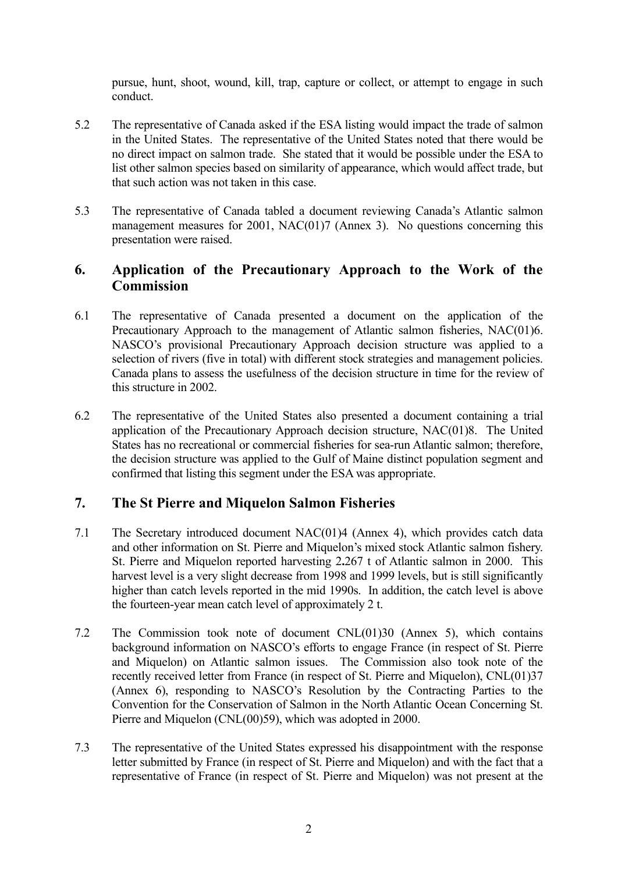pursue, hunt, shoot, wound, kill, trap, capture or collect, or attempt to engage in such conduct.

- 5.2 The representative of Canada asked if the ESA listing would impact the trade of salmon in the United States. The representative of the United States noted that there would be no direct impact on salmon trade. She stated that it would be possible under the ESA to list other salmon species based on similarity of appearance, which would affect trade, but that such action was not taken in this case.
- 5.3 The representative of Canada tabled a document reviewing Canada's Atlantic salmon management measures for 2001, NAC(01)7 (Annex 3). No questions concerning this presentation were raised.

## **6. Application of the Precautionary Approach to the Work of the Commission**

- 6.1 The representative of Canada presented a document on the application of the Precautionary Approach to the management of Atlantic salmon fisheries, NAC(01)6. NASCO's provisional Precautionary Approach decision structure was applied to a selection of rivers (five in total) with different stock strategies and management policies. Canada plans to assess the usefulness of the decision structure in time for the review of this structure in 2002.
- 6.2 The representative of the United States also presented a document containing a trial application of the Precautionary Approach decision structure, NAC(01)8. The United States has no recreational or commercial fisheries for sea-run Atlantic salmon; therefore, the decision structure was applied to the Gulf of Maine distinct population segment and confirmed that listing this segment under the ESA was appropriate.

# **7. The St Pierre and Miquelon Salmon Fisheries**

- 7.1 The Secretary introduced document NAC(01)4 (Annex 4), which provides catch data and other information on St. Pierre and Miquelon's mixed stock Atlantic salmon fishery. St. Pierre and Miquelon reported harvesting 2**.**267 t of Atlantic salmon in 2000. This harvest level is a very slight decrease from 1998 and 1999 levels, but is still significantly higher than catch levels reported in the mid 1990s. In addition, the catch level is above the fourteen-year mean catch level of approximately 2 t.
- 7.2 The Commission took note of document CNL(01)30 (Annex 5), which contains background information on NASCO's efforts to engage France (in respect of St. Pierre and Miquelon) on Atlantic salmon issues. The Commission also took note of the recently received letter from France (in respect of St. Pierre and Miquelon), CNL(01)37 (Annex 6), responding to NASCO's Resolution by the Contracting Parties to the Convention for the Conservation of Salmon in the North Atlantic Ocean Concerning St. Pierre and Miquelon (CNL(00)59), which was adopted in 2000.
- 7.3 The representative of the United States expressed his disappointment with the response letter submitted by France (in respect of St. Pierre and Miquelon) and with the fact that a representative of France (in respect of St. Pierre and Miquelon) was not present at the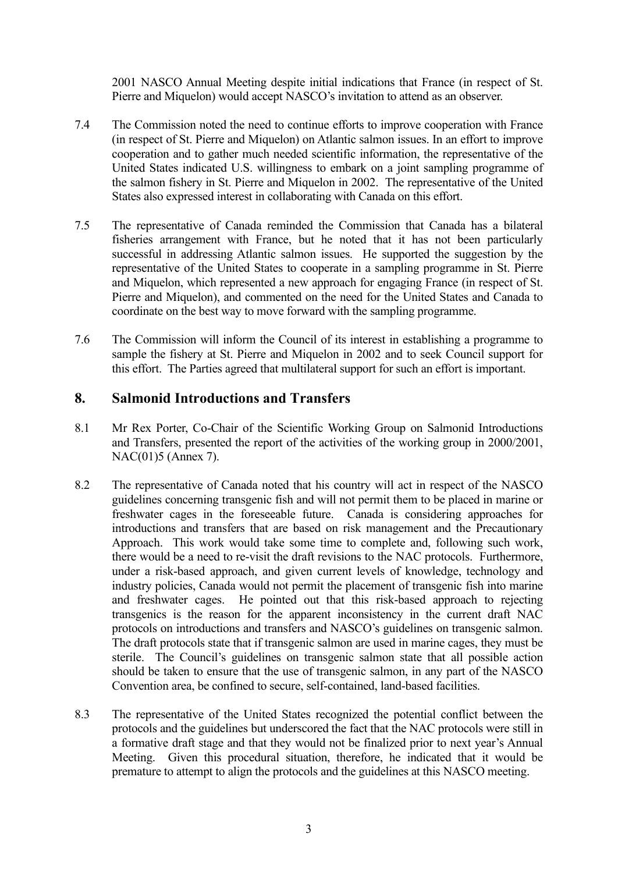2001 NASCO Annual Meeting despite initial indications that France (in respect of St. Pierre and Miquelon) would accept NASCO's invitation to attend as an observer.

- 7.4 The Commission noted the need to continue efforts to improve cooperation with France (in respect of St. Pierre and Miquelon) on Atlantic salmon issues. In an effort to improve cooperation and to gather much needed scientific information, the representative of the United States indicated U.S. willingness to embark on a joint sampling programme of the salmon fishery in St. Pierre and Miquelon in 2002. The representative of the United States also expressed interest in collaborating with Canada on this effort.
- 7.5 The representative of Canada reminded the Commission that Canada has a bilateral fisheries arrangement with France, but he noted that it has not been particularly successful in addressing Atlantic salmon issues. He supported the suggestion by the representative of the United States to cooperate in a sampling programme in St. Pierre and Miquelon, which represented a new approach for engaging France (in respect of St. Pierre and Miquelon), and commented on the need for the United States and Canada to coordinate on the best way to move forward with the sampling programme.
- 7.6 The Commission will inform the Council of its interest in establishing a programme to sample the fishery at St. Pierre and Miquelon in 2002 and to seek Council support for this effort. The Parties agreed that multilateral support for such an effort is important.

#### **8. Salmonid Introductions and Transfers**

- 8.1 Mr Rex Porter, Co-Chair of the Scientific Working Group on Salmonid Introductions and Transfers, presented the report of the activities of the working group in 2000/2001, NAC(01)5 (Annex 7).
- 8.2 The representative of Canada noted that his country will act in respect of the NASCO guidelines concerning transgenic fish and will not permit them to be placed in marine or freshwater cages in the foreseeable future. Canada is considering approaches for introductions and transfers that are based on risk management and the Precautionary Approach. This work would take some time to complete and, following such work, there would be a need to re-visit the draft revisions to the NAC protocols. Furthermore, under a risk-based approach, and given current levels of knowledge, technology and industry policies, Canada would not permit the placement of transgenic fish into marine and freshwater cages. He pointed out that this risk-based approach to rejecting transgenics is the reason for the apparent inconsistency in the current draft NAC protocols on introductions and transfers and NASCO's guidelines on transgenic salmon. The draft protocols state that if transgenic salmon are used in marine cages, they must be sterile. The Council's guidelines on transgenic salmon state that all possible action should be taken to ensure that the use of transgenic salmon, in any part of the NASCO Convention area, be confined to secure, self-contained, land-based facilities.
- 8.3 The representative of the United States recognized the potential conflict between the protocols and the guidelines but underscored the fact that the NAC protocols were still in a formative draft stage and that they would not be finalized prior to next year's Annual Meeting. Given this procedural situation, therefore, he indicated that it would be premature to attempt to align the protocols and the guidelines at this NASCO meeting.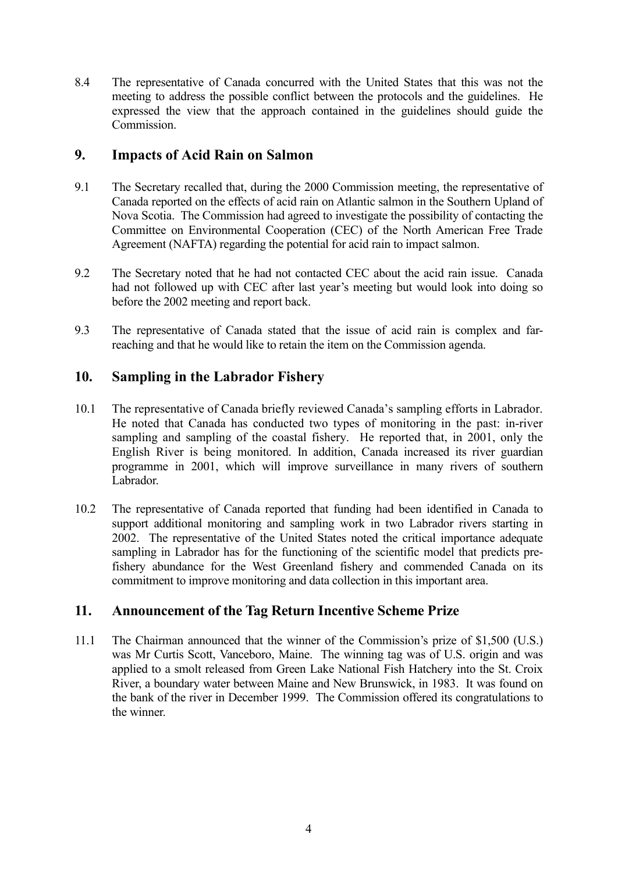8.4 The representative of Canada concurred with the United States that this was not the meeting to address the possible conflict between the protocols and the guidelines. He expressed the view that the approach contained in the guidelines should guide the Commission.

## **9. Impacts of Acid Rain on Salmon**

- 9.1 The Secretary recalled that, during the 2000 Commission meeting, the representative of Canada reported on the effects of acid rain on Atlantic salmon in the Southern Upland of Nova Scotia. The Commission had agreed to investigate the possibility of contacting the Committee on Environmental Cooperation (CEC) of the North American Free Trade Agreement (NAFTA) regarding the potential for acid rain to impact salmon.
- 9.2 The Secretary noted that he had not contacted CEC about the acid rain issue. Canada had not followed up with CEC after last year's meeting but would look into doing so before the 2002 meeting and report back.
- 9.3 The representative of Canada stated that the issue of acid rain is complex and farreaching and that he would like to retain the item on the Commission agenda.

# **10. Sampling in the Labrador Fishery**

- 10.1 The representative of Canada briefly reviewed Canada's sampling efforts in Labrador. He noted that Canada has conducted two types of monitoring in the past: in-river sampling and sampling of the coastal fishery. He reported that, in 2001, only the English River is being monitored. In addition, Canada increased its river guardian programme in 2001, which will improve surveillance in many rivers of southern Labrador.
- 10.2 The representative of Canada reported that funding had been identified in Canada to support additional monitoring and sampling work in two Labrador rivers starting in 2002. The representative of the United States noted the critical importance adequate sampling in Labrador has for the functioning of the scientific model that predicts prefishery abundance for the West Greenland fishery and commended Canada on its commitment to improve monitoring and data collection in this important area.

# **11. Announcement of the Tag Return Incentive Scheme Prize**

11.1 The Chairman announced that the winner of the Commission's prize of \$1,500 (U.S.) was Mr Curtis Scott, Vanceboro, Maine. The winning tag was of U.S. origin and was applied to a smolt released from Green Lake National Fish Hatchery into the St. Croix River, a boundary water between Maine and New Brunswick, in 1983. It was found on the bank of the river in December 1999. The Commission offered its congratulations to the winner.